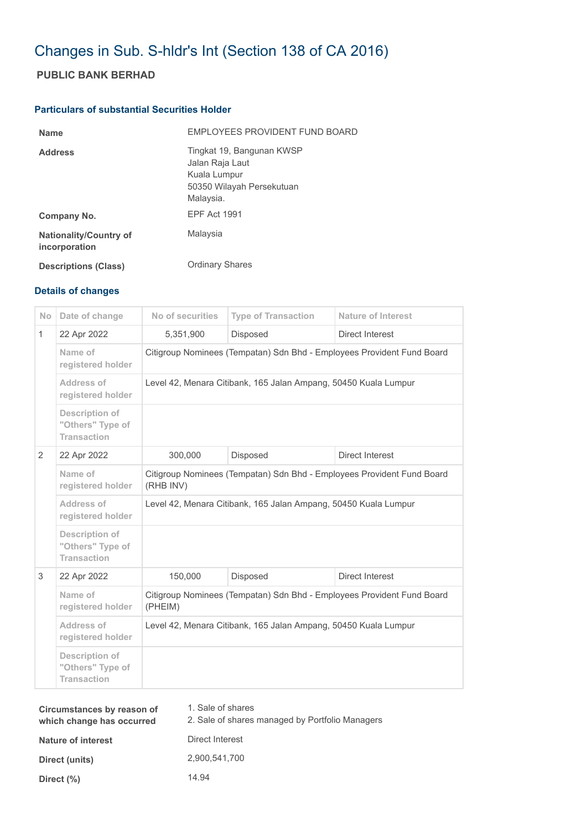# Changes in Sub. S-hldr's Int (Section 138 of CA 2016)

## **PUBLIC BANK BERHAD**

#### **Particulars of substantial Securities Holder**

| <b>Name</b>                                    | EMPLOYEES PROVIDENT FUND BOARD                                                                         |
|------------------------------------------------|--------------------------------------------------------------------------------------------------------|
| <b>Address</b>                                 | Tingkat 19, Bangunan KWSP<br>Jalan Raja Laut<br>Kuala Lumpur<br>50350 Wilayah Persekutuan<br>Malaysia. |
| Company No.                                    | <b>FPF Act 1991</b>                                                                                    |
| <b>Nationality/Country of</b><br>incorporation | Malaysia                                                                                               |
| <b>Descriptions (Class)</b>                    | <b>Ordinary Shares</b>                                                                                 |

### **Details of changes**

| Date of change                                                  | No of securities                                                                    | <b>Type of Transaction</b> | <b>Nature of Interest</b> |
|-----------------------------------------------------------------|-------------------------------------------------------------------------------------|----------------------------|---------------------------|
| 22 Apr 2022                                                     | 5,351,900                                                                           | Disposed                   | <b>Direct Interest</b>    |
| Name of<br>registered holder                                    | Citigroup Nominees (Tempatan) Sdn Bhd - Employees Provident Fund Board              |                            |                           |
| Address of<br>registered holder                                 | Level 42, Menara Citibank, 165 Jalan Ampang, 50450 Kuala Lumpur                     |                            |                           |
| Description of<br>"Others" Type of<br><b>Transaction</b>        |                                                                                     |                            |                           |
| 22 Apr 2022                                                     | 300,000                                                                             | Disposed                   | Direct Interest           |
| Name of<br>registered holder                                    | Citigroup Nominees (Tempatan) Sdn Bhd - Employees Provident Fund Board<br>(RHB INV) |                            |                           |
| Address of<br>registered holder                                 | Level 42, Menara Citibank, 165 Jalan Ampang, 50450 Kuala Lumpur                     |                            |                           |
| <b>Description of</b><br>"Others" Type of<br><b>Transaction</b> |                                                                                     |                            |                           |
| 22 Apr 2022                                                     | 150,000                                                                             | Disposed                   | Direct Interest           |
| Name of<br>registered holder                                    | Citigroup Nominees (Tempatan) Sdn Bhd - Employees Provident Fund Board<br>(PHEIM)   |                            |                           |
| Address of<br>registered holder                                 | Level 42, Menara Citibank, 165 Jalan Ampang, 50450 Kuala Lumpur                     |                            |                           |
| <b>Description of</b><br>"Others" Type of<br><b>Transaction</b> |                                                                                     |                            |                           |
|                                                                 |                                                                                     |                            |                           |

| Circumstances by reason of<br>which change has occurred | 1. Sale of shares<br>2. Sale of shares managed by Portfolio Managers |
|---------------------------------------------------------|----------------------------------------------------------------------|
| <b>Nature of interest</b>                               | Direct Interest                                                      |
| Direct (units)                                          | 2,900,541,700                                                        |
| Direct $(\%)$                                           | 14.94                                                                |